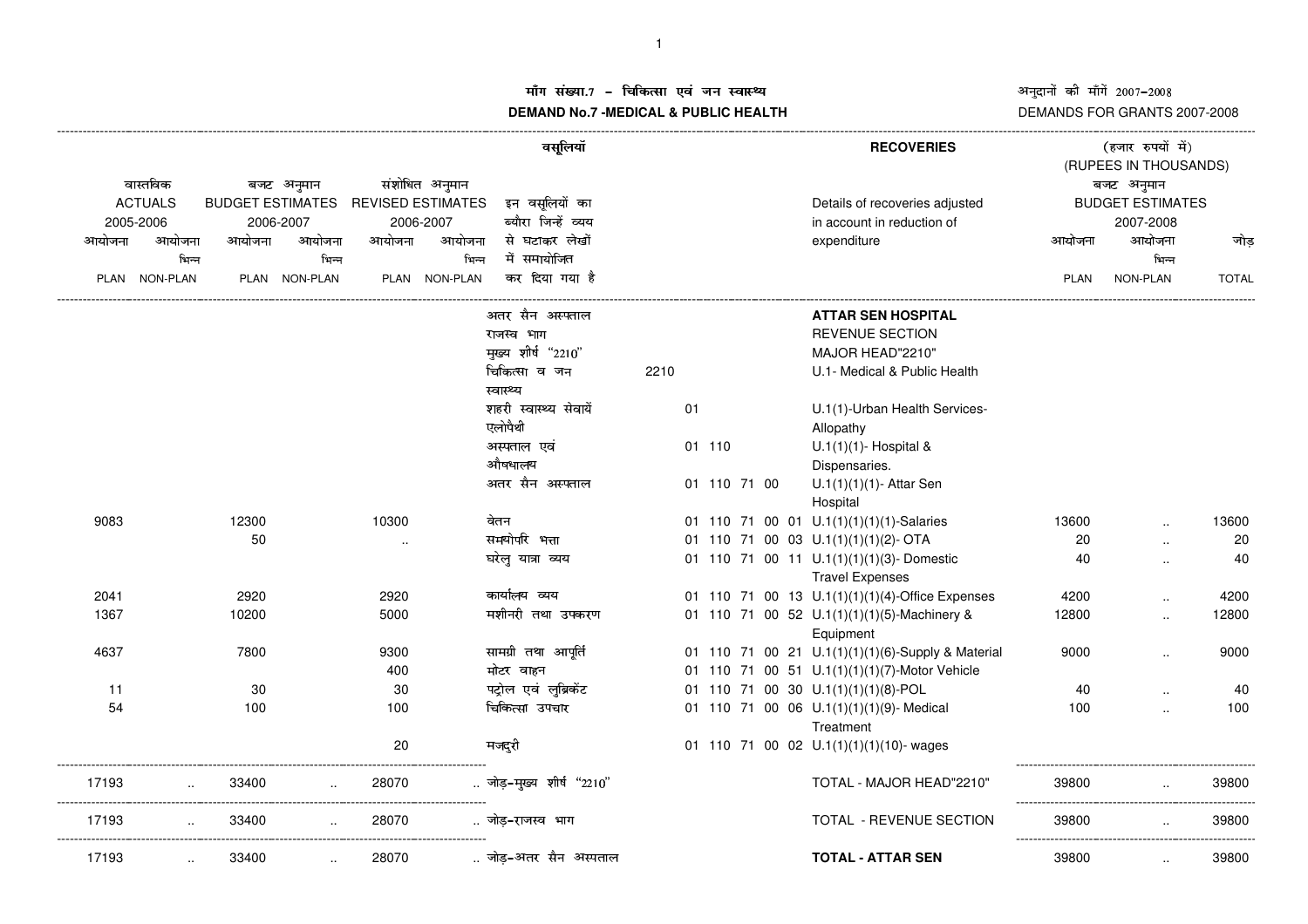## अनुदानों की माँगें 2007-2008 DEMANDS FOR GRANTS 2007-2008

## ाँग संख्या.7 – चिकित्सा एवं जन स्वास्थ्य<br>IAND N- 7 MEDIOAL 8 DUDLIO-UEALTIL **DEMAND No.7 -MEDICAL & PUBLIC HEALTH**

 (RUPEES IN THOUSANDS) ----------------------------------------------------------------------------------------------------------------------------------------------------------------------------------------------------------------------------------------------------------------------------------------------()\* +,-/.**RECOVERIES** <sup>012345673</sup>8989;:वास्तविक बजट अनुमान नुमान संशोधित अनुमान<br>MATES REVISEDESTIMATES इन् वसूलियों का Details of recoveries adjusted BUDGETEST<br>--भिन्न ACTUALSBUDGET ESTIMATES REVISED ESTIMATES इन वसलियों का ^\_`bcadaDetails of recoveries adjusted BUDGET ESTIMATES 2005-20062006-2007 2006-2007 ब्यौरा जिन्हें व्यय in account in reduction of 2007-2008आयोजना आयोजना आयोजना आयोजना आयोजना आयोजना से घटाकर—लेखों े साथोजना आयोजना आयोजना आयोजना जो प्रथा PLAN NON-PLAN PLAN NON-PLAN PLAN NON-PLAN PLAN NON-PLAN TOTAL ---------------------------------------------------------------------------------------------------------------------------------------------------------------------------------------------------------------------------------------------------------------------------------------------j **ATTAR SEN HOSPITAL**¡¢£¤¥¢¦¢§REVENUE SECTION¨© ª«¬®°¯±²²³³´µ¶¶ MAJOR HEAD"2210" ·¸·¹º»¼½¾¿2210 U.1- Medical & Public Health स्वास्थ्य औषधालय शहरी स्वास्थ्य सेवायें 01 U.1(1)-Urban Health Services-एलोपैथी Allopathy ÕÖÐÎ×ÍÌØÙ01 110  $U.1(1)(1)$ - Hospital & Dispensaries. Õ×ÝÞÑjßÖÕÐÎ×Í01U.1(1)(1)(1)- Attar Sen Hospital 908312300 10300 बेतन 01 01 110 71 00 01 U.1(1)(1)(1)(1)-Salaries 13600 .. 13600 .. 50 .. àáâãäåæçãéèãã<sup>01</sup> <sup>110</sup> <sup>71</sup> <sup>00</sup> <sup>03</sup> U.1(1)(1)(1)(2)- OTA <sup>20</sup> .. <sup>20</sup> घरेलू यात्रा व्यय ðëñëòðð<sup>01</sup> <sup>110</sup> <sup>71</sup> <sup>00</sup> <sup>11</sup> U.1(1)(1)(1)(3)- Domestic 40 .. <sup>40</sup> Travel Expenses 2041 <sup>2920</sup> <sup>2920</sup> óëðëîôðòðð<sup>01</sup> <sup>110</sup> <sup>71</sup> <sup>00</sup> <sup>13</sup> U.1(1)(1)(1)(4)-Office Expenses <sup>4200</sup> .. <sup>4200</sup> 1367 $10200$   $5000$  मशीनरी तथा उपकरण 01 110 71 00 52 U.1(1)(1)(1)(5)-Machinery & 12800 ... 12800<br>Equipment<br>01 110 71 00 21 U.1(1)(1)(6)-Supply & Material 9000 ... 9000 Equipment 4637 7800 9300 -ामग्री तथा आ<br>lटर वाहन I <sup>01</sup> <sup>110</sup> <sup>71</sup> <sup>00</sup> <sup>21</sup> U.1(1)(1)(1)(6)-Supply & Material <sup>9000</sup> .. <sup>9000</sup> 4000 मोटर व 0101 110 71 00 51 U.1(1)(1)(1)(7)-Motor Vehicle 11 30 30 !" #<sup>01</sup> <sup>110</sup> <sup>71</sup> <sup>00</sup> <sup>30</sup> U.1(1)(1)(1)(8)-POL <sup>40</sup> .. <sup>40</sup> <sup>100</sup> <sup>100</sup> \$ #%&'\$(<sup>01</sup> <sup>110</sup> <sup>71</sup> <sup>00</sup> <sup>06</sup> U.1(1)(1)(1)(9)- Medical <sup>100</sup> .. <sup>100</sup> 54**Treatment** 20मजदरी 01 110 71 00 02 U.1(1)(1)(1)(10)- wages<br>TOTAL - MAJOR HEAD"2210" ------------------------------------------------------------------------------------------------------ --------------------------------------------------------- 17193... 33400 ... 28070 ...जो .. जोड़–मुख्य शीर्ष "2210" 123,54677889:;; TOTAL - MAJOR HEAD"2210" <sup>39800</sup> .. <sup>39800</sup> ------------------------------------------------------------------------------------------------------ --------------------------------------------------------- 171933 .. 33400 .. 28070 ..जो 0 (\*<=>TOTAL - REVENUE SECTION <sup>39800</sup> .. <sup>39800</sup> ------------------------------------------------------------------------------------------------------ --------------------------------------------------------- 1719333400 .. 28070 .. जोड–अतर सैन अस्पताल **TOTAL - ATTAR SEN** 39800 .. 39800